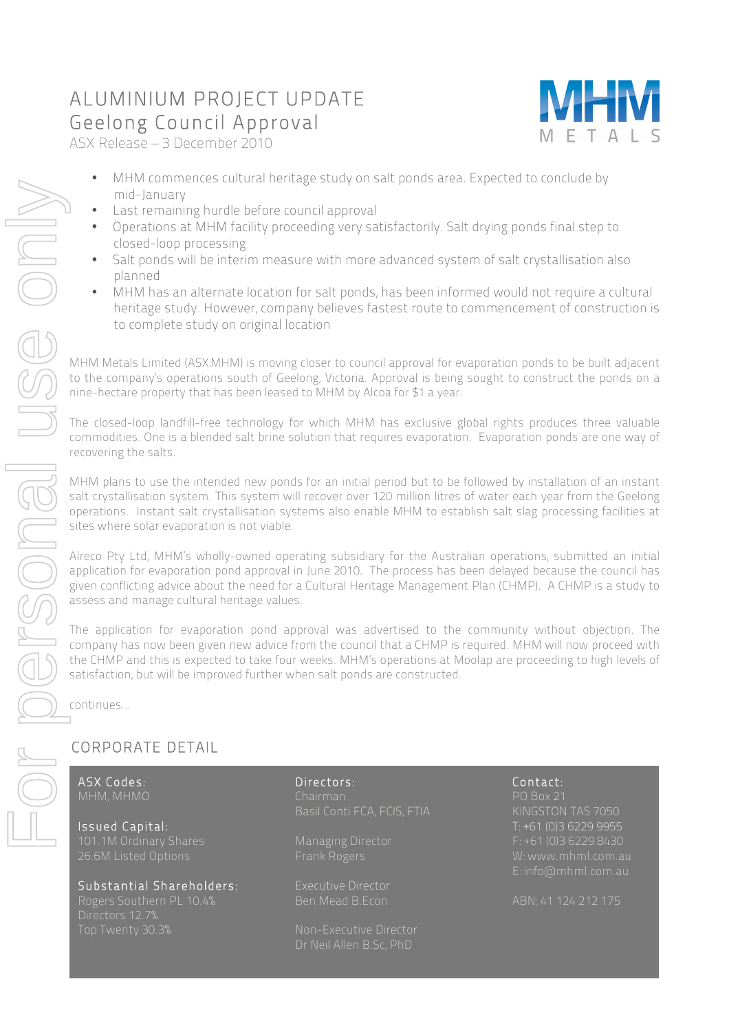## ALUMINIUM PROJECT UPDATE Geelong Council Approval ASX Release – 3 December 2010



- MHM commences cultural heritage study on salt ponds area. Expected to conclude by mid-January
- Last remaining hurdle before council approval
- Operations at MHM facility proceeding very satisfactorily. Salt drying ponds final step to closed-loop processing
- Salt ponds will be interim measure with more advanced system of salt crystallisation also planned
- MHM has an alternate location for salt ponds, has been informed would not require a cultural heritage study. However, company believes fastest route to commencement of construction is to complete study on original location

MHM Metals Limited (ASX:MHM) is moving closer to council approval for evaporation ponds to be built adjacent to the company's operations south of Geelong, Victoria. Approval is being sought to construct the ponds on a nine-hectare property that has been leased to MHM by Alcoa for \$1 a year.

The closed-loop landfill-free technology for which MHM has exclusive global rights produces three valuable commodities. One is a blended salt brine solution that requires evaporation. Evaporation ponds are one way of recovering the salts.

MHM plans to use the intended new ponds for an initial period but to be followed by installation of an instant salt crystallisation system. This system will recover over 120 million litres of water each year from the Geelong operations. Instant salt crystallisation systems also enable MHM to establish salt slag processing facilities at sites where solar evaporation is not viable.

Alreco Pty Ltd, MHM's wholly-owned operating subsidiary for the Australian operations, submitted an initial application for evaporation pond approval in June 2010. The process has been delayed because the council has given conflicting advice about the need for a Cultural Heritage Management Plan (CHMP). A CHMP is a study to assess and manage cultural heritage values.

The application for evaporation pond approval was advertised to the community without objection. The company has now been given new advice from the council that a CHMP is required. MHM will now proceed with the CHMP and this is expected to take four weeks. MHM's operations at Moolap are proceeding to high levels of satisfaction, but will be improved further when salt ponds are constructed.

continues…

## CORPORATE DETAIL

ׇ֘֒

Issued Capital: T: +61 (0)3 6229 9955 26.6M Listed Options Frank Rogers W: www.mhml.com.au

# Substantial Shareholders: Executive Director

ASX Codes: Directors: Contact: Basil Conti FCA, FCIS, FTIA

E: info@mhml.com.au